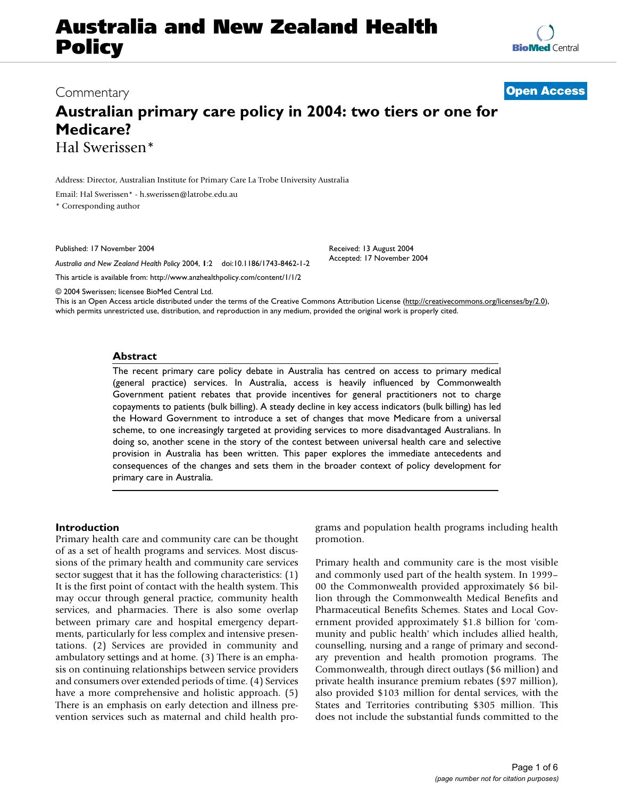# **Australia and New Zealand Health Policy**

### Commentary **[Open Access](http://www.biomedcentral.com/info/about/charter/)**

## **Australian primary care policy in 2004: two tiers or one for Medicare?** Hal Swerissen\*

Address: Director, Australian Institute for Primary Care La Trobe University Australia

Email: Hal Swerissen\* - h.swerissen@latrobe.edu.au

\* Corresponding author

Published: 17 November 2004

*Australia and New Zealand Health Policy* 2004, **1**:2 doi:10.1186/1743-8462-1-2

[This article is available from: http://www.anzhealthpolicy.com/content/1/1/2](http://www.anzhealthpolicy.com/content/1/1/2)

© 2004 Swerissen; licensee BioMed Central Ltd.

This is an Open Access article distributed under the terms of the Creative Commons Attribution License [\(http://creativecommons.org/licenses/by/2.0\)](http://creativecommons.org/licenses/by/2.0), which permits unrestricted use, distribution, and reproduction in any medium, provided the original work is properly cited.

#### **Abstract**

The recent primary care policy debate in Australia has centred on access to primary medical (general practice) services. In Australia, access is heavily influenced by Commonwealth Government patient rebates that provide incentives for general practitioners not to charge copayments to patients (bulk billing). A steady decline in key access indicators (bulk billing) has led the Howard Government to introduce a set of changes that move Medicare from a universal scheme, to one increasingly targeted at providing services to more disadvantaged Australians. In doing so, another scene in the story of the contest between universal health care and selective provision in Australia has been written. This paper explores the immediate antecedents and consequences of the changes and sets them in the broader context of policy development for primary care in Australia.

#### **Introduction**

Primary health care and community care can be thought of as a set of health programs and services. Most discussions of the primary health and community care services sector suggest that it has the following characteristics: (1) It is the first point of contact with the health system. This may occur through general practice, community health services, and pharmacies. There is also some overlap between primary care and hospital emergency departments, particularly for less complex and intensive presentations. (2) Services are provided in community and ambulatory settings and at home. (3) There is an emphasis on continuing relationships between service providers and consumers over extended periods of time. (4) Services have a more comprehensive and holistic approach. (5) There is an emphasis on early detection and illness prevention services such as maternal and child health programs and population health programs including health promotion.

Primary health and community care is the most visible and commonly used part of the health system. In 1999– 00 the Commonwealth provided approximately \$6 billion through the Commonwealth Medical Benefits and Pharmaceutical Benefits Schemes. States and Local Government provided approximately \$1.8 billion for 'community and public health' which includes allied health, counselling, nursing and a range of primary and secondary prevention and health promotion programs. The Commonwealth, through direct outlays (\$6 million) and private health insurance premium rebates (\$97 million), also provided \$103 million for dental services, with the States and Territories contributing \$305 million. This does not include the substantial funds committed to the



Accepted: 17 November 2004

Received: 13 August 2004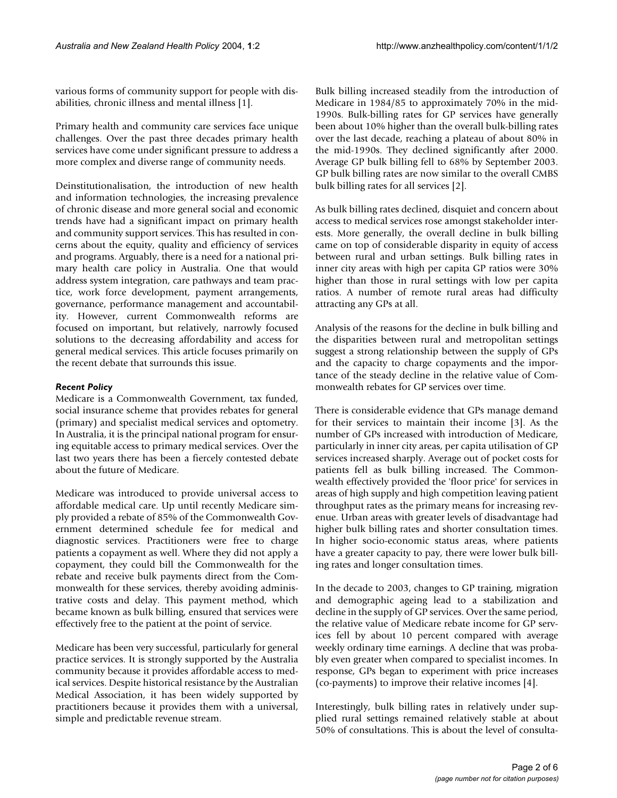various forms of community support for people with disabilities, chronic illness and mental illness [1].

Primary health and community care services face unique challenges. Over the past three decades primary health services have come under significant pressure to address a more complex and diverse range of community needs.

Deinstitutionalisation, the introduction of new health and information technologies, the increasing prevalence of chronic disease and more general social and economic trends have had a significant impact on primary health and community support services. This has resulted in concerns about the equity, quality and efficiency of services and programs. Arguably, there is a need for a national primary health care policy in Australia. One that would address system integration, care pathways and team practice, work force development, payment arrangements, governance, performance management and accountability. However, current Commonwealth reforms are focused on important, but relatively, narrowly focused solutions to the decreasing affordability and access for general medical services. This article focuses primarily on the recent debate that surrounds this issue.

#### *Recent Policy*

Medicare is a Commonwealth Government, tax funded, social insurance scheme that provides rebates for general (primary) and specialist medical services and optometry. In Australia, it is the principal national program for ensuring equitable access to primary medical services. Over the last two years there has been a fiercely contested debate about the future of Medicare.

Medicare was introduced to provide universal access to affordable medical care. Up until recently Medicare simply provided a rebate of 85% of the Commonwealth Government determined schedule fee for medical and diagnostic services. Practitioners were free to charge patients a copayment as well. Where they did not apply a copayment, they could bill the Commonwealth for the rebate and receive bulk payments direct from the Commonwealth for these services, thereby avoiding administrative costs and delay. This payment method, which became known as bulk billing, ensured that services were effectively free to the patient at the point of service.

Medicare has been very successful, particularly for general practice services. It is strongly supported by the Australia community because it provides affordable access to medical services. Despite historical resistance by the Australian Medical Association, it has been widely supported by practitioners because it provides them with a universal, simple and predictable revenue stream.

Bulk billing increased steadily from the introduction of Medicare in 1984/85 to approximately 70% in the mid-1990s. Bulk-billing rates for GP services have generally been about 10% higher than the overall bulk-billing rates over the last decade, reaching a plateau of about 80% in the mid-1990s. They declined significantly after 2000. Average GP bulk billing fell to 68% by September 2003. GP bulk billing rates are now similar to the overall CMBS bulk billing rates for all services [2].

As bulk billing rates declined, disquiet and concern about access to medical services rose amongst stakeholder interests. More generally, the overall decline in bulk billing came on top of considerable disparity in equity of access between rural and urban settings. Bulk billing rates in inner city areas with high per capita GP ratios were 30% higher than those in rural settings with low per capita ratios. A number of remote rural areas had difficulty attracting any GPs at all.

Analysis of the reasons for the decline in bulk billing and the disparities between rural and metropolitan settings suggest a strong relationship between the supply of GPs and the capacity to charge copayments and the importance of the steady decline in the relative value of Commonwealth rebates for GP services over time.

There is considerable evidence that GPs manage demand for their services to maintain their income [3]. As the number of GPs increased with introduction of Medicare, particularly in inner city areas, per capita utilisation of GP services increased sharply. Average out of pocket costs for patients fell as bulk billing increased. The Commonwealth effectively provided the 'floor price' for services in areas of high supply and high competition leaving patient throughput rates as the primary means for increasing revenue. Urban areas with greater levels of disadvantage had higher bulk billing rates and shorter consultation times. In higher socio-economic status areas, where patients have a greater capacity to pay, there were lower bulk billing rates and longer consultation times.

In the decade to 2003, changes to GP training, migration and demographic ageing lead to a stabilization and decline in the supply of GP services. Over the same period, the relative value of Medicare rebate income for GP services fell by about 10 percent compared with average weekly ordinary time earnings. A decline that was probably even greater when compared to specialist incomes. In response, GPs began to experiment with price increases (co-payments) to improve their relative incomes [4].

Interestingly, bulk billing rates in relatively under supplied rural settings remained relatively stable at about 50% of consultations. This is about the level of consulta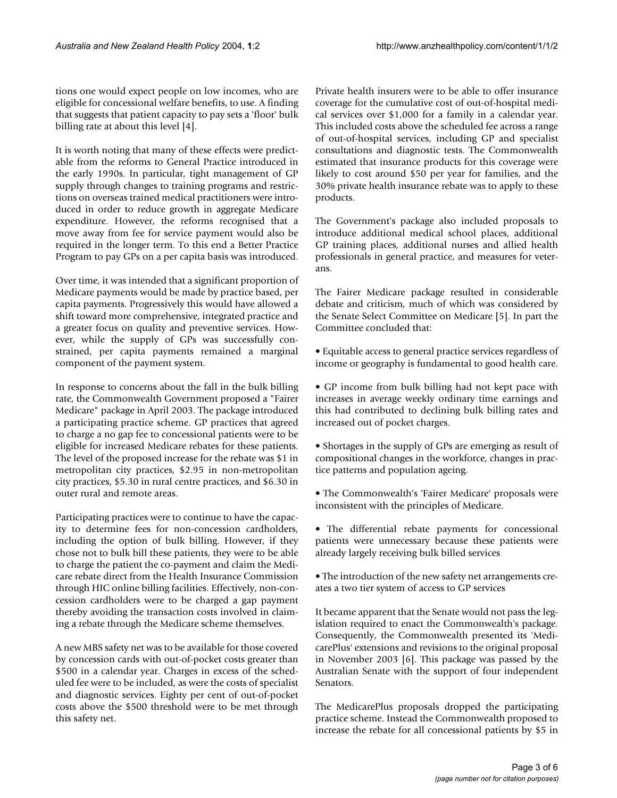tions one would expect people on low incomes, who are eligible for concessional welfare benefits, to use. A finding that suggests that patient capacity to pay sets a 'floor' bulk billing rate at about this level [4].

It is worth noting that many of these effects were predictable from the reforms to General Practice introduced in the early 1990s. In particular, tight management of GP supply through changes to training programs and restrictions on overseas trained medical practitioners were introduced in order to reduce growth in aggregate Medicare expenditure. However, the reforms recognised that a move away from fee for service payment would also be required in the longer term. To this end a Better Practice Program to pay GPs on a per capita basis was introduced.

Over time, it was intended that a significant proportion of Medicare payments would be made by practice based, per capita payments. Progressively this would have allowed a shift toward more comprehensive, integrated practice and a greater focus on quality and preventive services. However, while the supply of GPs was successfully constrained, per capita payments remained a marginal component of the payment system.

In response to concerns about the fall in the bulk billing rate, the Commonwealth Government proposed a "Fairer Medicare" package in April 2003. The package introduced a participating practice scheme. GP practices that agreed to charge a no gap fee to concessional patients were to be eligible for increased Medicare rebates for these patients. The level of the proposed increase for the rebate was \$1 in metropolitan city practices, \$2.95 in non-metropolitan city practices, \$5.30 in rural centre practices, and \$6.30 in outer rural and remote areas.

Participating practices were to continue to have the capacity to determine fees for non-concession cardholders, including the option of bulk billing. However, if they chose not to bulk bill these patients, they were to be able to charge the patient the co-payment and claim the Medicare rebate direct from the Health Insurance Commission through HIC online billing facilities. Effectively, non-concession cardholders were to be charged a gap payment thereby avoiding the transaction costs involved in claiming a rebate through the Medicare scheme themselves.

A new MBS safety net was to be available for those covered by concession cards with out-of-pocket costs greater than \$500 in a calendar year. Charges in excess of the scheduled fee were to be included, as were the costs of specialist and diagnostic services. Eighty per cent of out-of-pocket costs above the \$500 threshold were to be met through this safety net.

Private health insurers were to be able to offer insurance coverage for the cumulative cost of out-of-hospital medical services over \$1,000 for a family in a calendar year. This included costs above the scheduled fee across a range of out-of-hospital services, including GP and specialist consultations and diagnostic tests. The Commonwealth estimated that insurance products for this coverage were likely to cost around \$50 per year for families, and the 30% private health insurance rebate was to apply to these products.

The Government's package also included proposals to introduce additional medical school places, additional GP training places, additional nurses and allied health professionals in general practice, and measures for veterans.

The Fairer Medicare package resulted in considerable debate and criticism, much of which was considered by the Senate Select Committee on Medicare [5]. In part the Committee concluded that:

• Equitable access to general practice services regardless of income or geography is fundamental to good health care.

• GP income from bulk billing had not kept pace with increases in average weekly ordinary time earnings and this had contributed to declining bulk billing rates and increased out of pocket charges.

• Shortages in the supply of GPs are emerging as result of compositional changes in the workforce, changes in practice patterns and population ageing.

• The Commonwealth's 'Fairer Medicare' proposals were inconsistent with the principles of Medicare.

• The differential rebate payments for concessional patients were unnecessary because these patients were already largely receiving bulk billed services

• The introduction of the new safety net arrangements creates a two tier system of access to GP services

It became apparent that the Senate would not pass the legislation required to enact the Commonwealth's package. Consequently, the Commonwealth presented its 'MedicarePlus' extensions and revisions to the original proposal in November 2003 [6]. This package was passed by the Australian Senate with the support of four independent Senators.

The MedicarePlus proposals dropped the participating practice scheme. Instead the Commonwealth proposed to increase the rebate for all concessional patients by \$5 in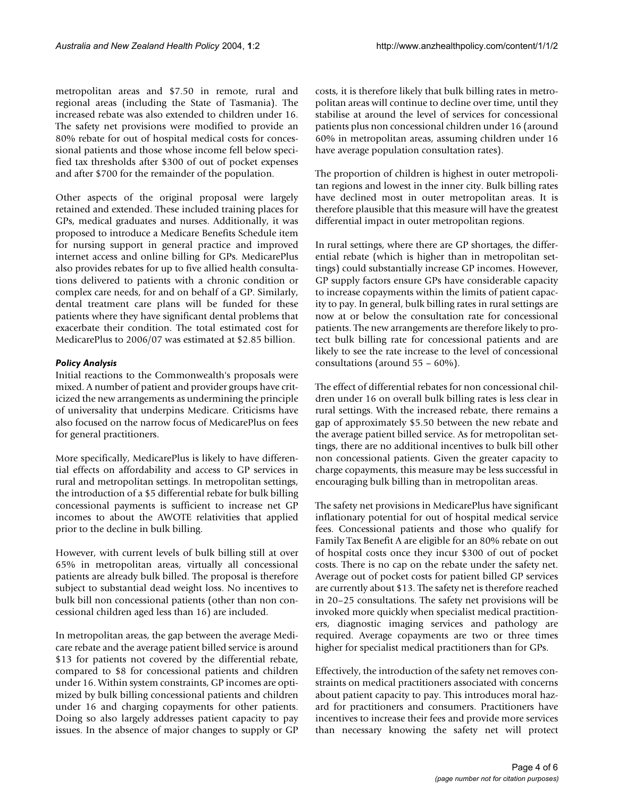metropolitan areas and \$7.50 in remote, rural and regional areas (including the State of Tasmania). The increased rebate was also extended to children under 16. The safety net provisions were modified to provide an 80% rebate for out of hospital medical costs for concessional patients and those whose income fell below specified tax thresholds after \$300 of out of pocket expenses and after \$700 for the remainder of the population.

Other aspects of the original proposal were largely retained and extended. These included training places for GPs, medical graduates and nurses. Additionally, it was proposed to introduce a Medicare Benefits Schedule item for nursing support in general practice and improved internet access and online billing for GPs. MedicarePlus also provides rebates for up to five allied health consultations delivered to patients with a chronic condition or complex care needs, for and on behalf of a GP. Similarly, dental treatment care plans will be funded for these patients where they have significant dental problems that exacerbate their condition. The total estimated cost for MedicarePlus to 2006/07 was estimated at \$2.85 billion.

#### *Policy Analysis*

Initial reactions to the Commonwealth's proposals were mixed. A number of patient and provider groups have criticized the new arrangements as undermining the principle of universality that underpins Medicare. Criticisms have also focused on the narrow focus of MedicarePlus on fees for general practitioners.

More specifically, MedicarePlus is likely to have differential effects on affordability and access to GP services in rural and metropolitan settings. In metropolitan settings, the introduction of a \$5 differential rebate for bulk billing concessional payments is sufficient to increase net GP incomes to about the AWOTE relativities that applied prior to the decline in bulk billing.

However, with current levels of bulk billing still at over 65% in metropolitan areas, virtually all concessional patients are already bulk billed. The proposal is therefore subject to substantial dead weight loss. No incentives to bulk bill non concessional patients (other than non concessional children aged less than 16) are included.

In metropolitan areas, the gap between the average Medicare rebate and the average patient billed service is around \$13 for patients not covered by the differential rebate, compared to \$8 for concessional patients and children under 16. Within system constraints, GP incomes are optimized by bulk billing concessional patients and children under 16 and charging copayments for other patients. Doing so also largely addresses patient capacity to pay issues. In the absence of major changes to supply or GP costs, it is therefore likely that bulk billing rates in metropolitan areas will continue to decline over time, until they stabilise at around the level of services for concessional patients plus non concessional children under 16 (around 60% in metropolitan areas, assuming children under 16 have average population consultation rates).

The proportion of children is highest in outer metropolitan regions and lowest in the inner city. Bulk billing rates have declined most in outer metropolitan areas. It is therefore plausible that this measure will have the greatest differential impact in outer metropolitan regions.

In rural settings, where there are GP shortages, the differential rebate (which is higher than in metropolitan settings) could substantially increase GP incomes. However, GP supply factors ensure GPs have considerable capacity to increase copayments within the limits of patient capacity to pay. In general, bulk billing rates in rural settings are now at or below the consultation rate for concessional patients. The new arrangements are therefore likely to protect bulk billing rate for concessional patients and are likely to see the rate increase to the level of concessional consultations (around 55 – 60%).

The effect of differential rebates for non concessional children under 16 on overall bulk billing rates is less clear in rural settings. With the increased rebate, there remains a gap of approximately \$5.50 between the new rebate and the average patient billed service. As for metropolitan settings, there are no additional incentives to bulk bill other non concessional patients. Given the greater capacity to charge copayments, this measure may be less successful in encouraging bulk billing than in metropolitan areas.

The safety net provisions in MedicarePlus have significant inflationary potential for out of hospital medical service fees. Concessional patients and those who qualify for Family Tax Benefit A are eligible for an 80% rebate on out of hospital costs once they incur \$300 of out of pocket costs. There is no cap on the rebate under the safety net. Average out of pocket costs for patient billed GP services are currently about \$13. The safety net is therefore reached in 20–25 consultations. The safety net provisions will be invoked more quickly when specialist medical practitioners, diagnostic imaging services and pathology are required. Average copayments are two or three times higher for specialist medical practitioners than for GPs.

Effectively, the introduction of the safety net removes constraints on medical practitioners associated with concerns about patient capacity to pay. This introduces moral hazard for practitioners and consumers. Practitioners have incentives to increase their fees and provide more services than necessary knowing the safety net will protect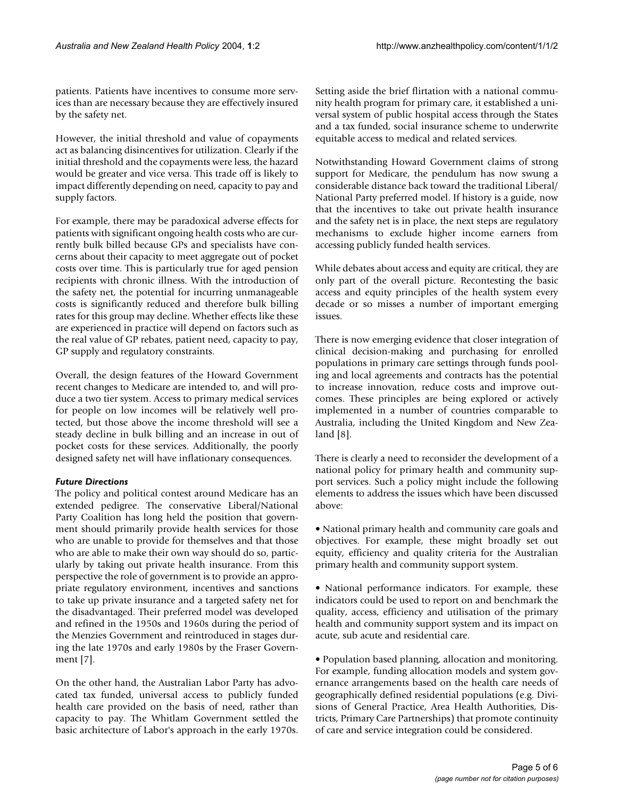patients. Patients have incentives to consume more services than are necessary because they are effectively insured by the safety net.

However, the initial threshold and value of copayments act as balancing disincentives for utilization. Clearly if the initial threshold and the copayments were less, the hazard would be greater and vice versa. This trade off is likely to impact differently depending on need, capacity to pay and supply factors.

For example, there may be paradoxical adverse effects for patients with significant ongoing health costs who are currently bulk billed because GPs and specialists have concerns about their capacity to meet aggregate out of pocket costs over time. This is particularly true for aged pension recipients with chronic illness. With the introduction of the safety net, the potential for incurring unmanageable costs is significantly reduced and therefore bulk billing rates for this group may decline. Whether effects like these are experienced in practice will depend on factors such as the real value of GP rebates, patient need, capacity to pay, GP supply and regulatory constraints.

Overall, the design features of the Howard Government recent changes to Medicare are intended to, and will produce a two tier system. Access to primary medical services for people on low incomes will be relatively well protected, but those above the income threshold will see a steady decline in bulk billing and an increase in out of pocket costs for these services. Additionally, the poorly designed safety net will have inflationary consequences.

#### *Future Directions*

The policy and political contest around Medicare has an extended pedigree. The conservative Liberal/National Party Coalition has long held the position that government should primarily provide health services for those who are unable to provide for themselves and that those who are able to make their own way should do so, particularly by taking out private health insurance. From this perspective the role of government is to provide an appropriate regulatory environment, incentives and sanctions to take up private insurance and a targeted safety net for the disadvantaged. Their preferred model was developed and refined in the 1950s and 1960s during the period of the Menzies Government and reintroduced in stages during the late 1970s and early 1980s by the Fraser Government [7].

On the other hand, the Australian Labor Party has advocated tax funded, universal access to publicly funded health care provided on the basis of need, rather than capacity to pay. The Whitlam Government settled the basic architecture of Labor's approach in the early 1970s.

Setting aside the brief flirtation with a national community health program for primary care, it established a universal system of public hospital access through the States and a tax funded, social insurance scheme to underwrite equitable access to medical and related services.

Notwithstanding Howard Government claims of strong support for Medicare, the pendulum has now swung a considerable distance back toward the traditional Liberal/ National Party preferred model. If history is a guide, now that the incentives to take out private health insurance and the safety net is in place, the next steps are regulatory mechanisms to exclude higher income earners from accessing publicly funded health services.

While debates about access and equity are critical, they are only part of the overall picture. Recontesting the basic access and equity principles of the health system every decade or so misses a number of important emerging issues.

There is now emerging evidence that closer integration of clinical decision-making and purchasing for enrolled populations in primary care settings through funds pooling and local agreements and contracts has the potential to increase innovation, reduce costs and improve outcomes. These principles are being explored or actively implemented in a number of countries comparable to Australia, including the United Kingdom and New Zealand [8].

There is clearly a need to reconsider the development of a national policy for primary health and community support services. Such a policy might include the following elements to address the issues which have been discussed above:

• National primary health and community care goals and objectives. For example, these might broadly set out equity, efficiency and quality criteria for the Australian primary health and community support system.

• National performance indicators. For example, these indicators could be used to report on and benchmark the quality, access, efficiency and utilisation of the primary health and community support system and its impact on acute, sub acute and residential care.

• Population based planning, allocation and monitoring. For example, funding allocation models and system governance arrangements based on the health care needs of geographically defined residential populations (e.g. Divisions of General Practice, Area Health Authorities, Districts, Primary Care Partnerships) that promote continuity of care and service integration could be considered.